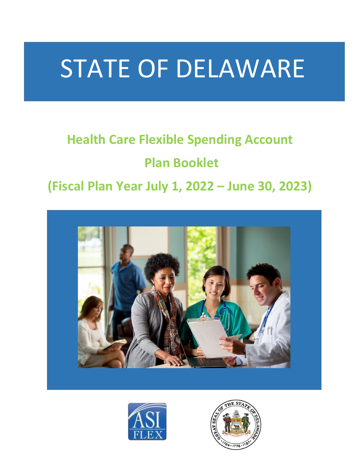# STATE OF DELAWARE

# **Health Care Flexible Spending Account**

# **Plan Booklet**

# **(Fiscal Plan Year July 1, 2022 – June 30, 2023)**





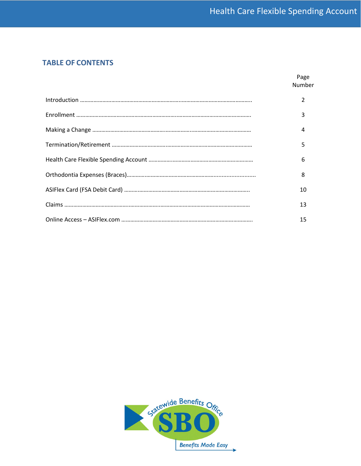# **TABLE OF CONTENTS**

| Page<br>Number |
|----------------|
|                |
| 3              |
| Δ              |
| 5              |
| 6              |
| 8              |
| 10             |
| 13             |
| 15             |

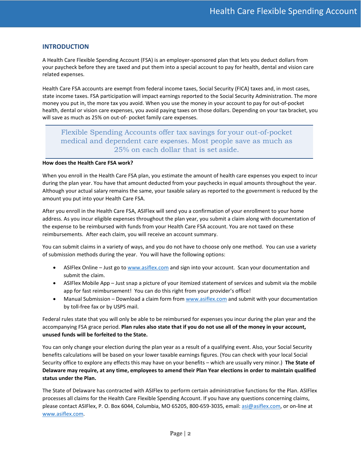# **INTRODUCTION**

A Health Care Flexible Spending Account (FSA) is an employer-sponsored plan that lets you deduct dollars from your paycheck before they are taxed and put them into a special account to pay for health, dental and vision care related expenses.

Health Care FSA accounts are exempt from federal income taxes, Social Security (FICA) taxes and, in most cases, state income taxes. FSA participation will impact earnings reported to the Social Security Administration. The more money you put in, the more tax you avoid. When you use the money in your account to pay for out-of-pocket health, dental or vision care expenses, you avoid paying taxes on those dollars. Depending on your tax bracket, you will save as much as 25% on out-of- pocket family care expenses.

# Flexible Spending Accounts offer tax savings for your out-of-pocket medical and dependent care expenses. Most people save as much as 25% on each dollar that is set aside.

#### **How does the Health Care FSA work?**

When you enroll in the Health Care FSA plan, you estimate the amount of health care expenses you expect to incur during the plan year. You have that amount deducted from your paychecks in equal amounts throughout the year. Although your actual salary remains the same, your taxable salary as reported to the government is reduced by the amount you put into your Health Care FSA.

After you enroll in the Health Care FSA, ASIFlex will send you a confirmation of your enrollment to your home address. As you incur eligible expenses throughout the plan year, you submit a claim along with documentation of the expense to be reimbursed with funds from your Health Care FSA account. You are not taxed on these reimbursements. After each claim, you will receive an account summary.

You can submit claims in a variety of ways, and you do not have to choose only one method. You can use a variety of submission methods during the year. You will have the following options:

- ASIFlex Online Just go t[o www.asiflex.com](http://www.asiflex.com/) and sign into your account. Scan your documentation and submit the claim.
- ASIFlex Mobile App Just snap a picture of your itemized statement of services and submit via the mobile app for fast reimbursement! You can do this right from your provider's office!
- Manual Submission Download a claim form fro[m www.asiflex.com](http://www.asiflex.com/) and submit with your documentation by toll-free fax or by USPS mail.

Federal rules state that you will only be able to be reimbursed for expenses you incur during the plan year and the accompanying FSA grace period. **Plan rules also state that if you do not use all of the money in your account, unused funds will be forfeited to the State.**

You can only change your election during the plan year as a result of a qualifying event. Also, your Social Security benefits calculations will be based on your lower taxable earnings figures. (You can check with your local Social Security office to explore any effects this may have on your benefits – which are usually very minor.) **The State of Delaware may require, at any time, employees to amend their Plan Year elections in order to maintain qualified status under the Plan.**

The State of Delaware has contracted with ASIFlex to perform certain administrative functions for the Plan. ASIFlex processes all claims for the Health Care Flexible Spending Account. If you have any questions concerning claims, please contact ASIFlex, P. O. Box 6044, Columbia, MO 65205, 800-659-3035, email: [asi@asiflex.com,](mailto:asi@asiflex.com) or on-line at [www.asiflex.com.](http://www.asiflex.com/)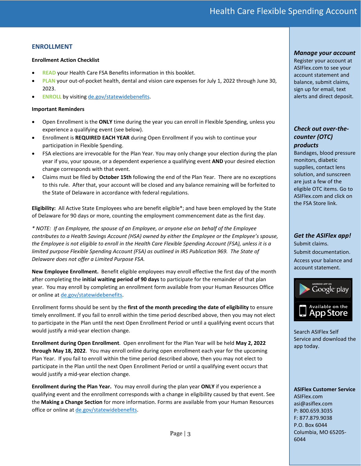# **ENROLLMENT**

#### **Enrollment Action Checklist**

- **READ** your Health Care FSA Benefits information in this booklet.
- **PLAN** your out-of-pocket health, dental and vision care expenses for July 1, 2022 through June 30, 2023.
- **ENROLL** by visitin[g de.gov/statewidebenefits.](https://de.gov/statewidebenefits)

#### **Important Reminders**

- Open Enrollment is the **ONLY** time during the year you can enroll in Flexible Spending, unless you experience a qualifying event (see below).
- Enrollment is **REQUIRED EACH YEAR** during Open Enrollment if you wish to continue your participation in Flexible Spending.
- FSA elections are irrevocable for the Plan Year. You may only change your election during the plan year if you, your spouse, or a dependent experience a qualifying event **AND** your desired election change corresponds with that event.
- Claims must be filed by **October 15th** following the end of the Plan Year. There are no exceptions to this rule. After that, your account will be closed and any balance remaining will be forfeited to the State of Delaware in accordance with federal regulations.

**Eligibility:** All Active State Employees who are benefit eligible\*; and have been employed by the State of Delaware for 90 days or more, counting the employment commencement date as the first day.

*\* NOTE: If an Employee, the spouse of an Employee, or anyone else on behalf of the Employee contributes to a Health Savings Account (HSA) owned by either the Employee or the Employee's spouse, the Employee is not eligible to enroll in the Health Care Flexible Spending Account (FSA), unless it is a limited purpose Flexible Spending Account (FSA) as outlined in IRS Publication 969. The State of Delaware does not offer a Limited Purpose FSA.*

**New Employee Enrollment.** Benefit eligible employees may enroll effective the first day of the month after completing the **initial waiting period of 90 days** to participate for the remainder of that plan year. You may enroll by completing an enrollment form available from your Human Resources Office or online at [de.gov/statewidebenefits.](https://de.gov/statewidebenefits)

Enrollment forms should be sent by the **first of the month preceding the date of eligibility** to ensure timely enrollment. If you fail to enroll within the time period described above, then you may not elect to participate in the Plan until the next Open Enrollment Period or until a qualifying event occurs that would justify a mid-year election change.

**Enrollment during Open Enrollment**. Open enrollment for the Plan Year will be held **May 2, 2022 through May 18, 2022**. You may enroll online during open enrollment each year for the upcoming Plan Year. If you fail to enroll within the time period described above, then you may not elect to participate in the Plan until the next Open Enrollment Period or until a qualifying event occurs that would justify a mid-year election change.

**Enrollment during the Plan Year.** You may enroll during the plan year **ONLY** if you experience a qualifying event and the enrollment corresponds with a change in eligibility caused by that event. See the **Making a Change Section** for more information. Forms are available from your Human Resources office or online at [de.gov/statewidebenefits.](https://de.gov/statewidebenefits) 

Page | 3

#### *Manage your account*

Register your account at ASIFlex.com to see your account statement and balance, submit claims, sign up for email, text alerts and direct deposit.

# *Check out over-thecounter (OTC) products*

Bandages, blood pressure monitors, diabetic supplies, contact lens solution, and sunscreen are just a few of the eligible OTC items. Go to ASIFlex.com and click on the FSA Store link.

# *Get the ASIFlex app!*

Submit claims. Submit documentation. Access your balance and account statement.



Search ASIFlex Self Service and download the app today.

**ASIFlex Customer Service**  ASIFlex.com asi@asiflex.com P: 800.659.3035 F: 877.879.9038 P.O. Box 6044 Columbia, MO 65205- 6044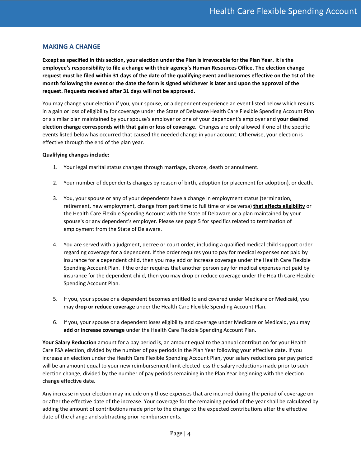# **MAKING A CHANGE**

**Except as specified in this section, your election under the Plan is irrevocable for the Plan Year. It is the employee's responsibility to file a change with their agency's Human Resources Office. The election change request must be filed within 31 days of the date of the qualifying event and becomes effective on the 1st of the month following the event or the date the form is signed whichever is later and upon the approval of the request. Requests received after 31 days will not be approved.**

You may change your election if you, your spouse, or a dependent experience an event listed below which results in a gain or loss of eligibility for coverage under the State of Delaware Health Care Flexible Spending Account Plan or a similar plan maintained by your spouse's employer or one of your dependent's employer and **your desired election change corresponds with that gain or loss of coverage**. Changes are only allowed if one of the specific events listed below has occurred that caused the needed change in your account. Otherwise, your election is effective through the end of the plan year.

#### **Qualifying changes include:**

- 1. Your legal marital status changes through marriage, divorce, death or annulment.
- 2. Your number of dependents changes by reason of birth, adoption (or placement for adoption), or death.
- 3. You, your spouse or any of your dependents have a change in employment status (termination, retirement, new employment, change from part time to full time or vice versa) **that affects eligibility** or the Health Care Flexible Spending Account with the State of Delaware or a plan maintained by your spouse's or any dependent's employer. Please see page 5 for specifics related to termination of employment from the State of Delaware.
- 4. You are served with a judgment, decree or court order, including a qualified medical child support order regarding coverage for a dependent. If the order requires you to pay for medical expenses not paid by insurance for a dependent child, then you may add or increase coverage under the Health Care Flexible Spending Account Plan. If the order requires that another person pay for medical expenses not paid by insurance for the dependent child, then you may drop or reduce coverage under the Health Care Flexible Spending Account Plan.
- 5. If you, your spouse or a dependent becomes entitled to and covered under Medicare or Medicaid, you may **drop or reduce coverage** under the Health Care Flexible Spending Account Plan.
- 6. If you, your spouse or a dependent loses eligibility and coverage under Medicare or Medicaid, you may **add or increase coverage** under the Health Care Flexible Spending Account Plan.

**Your Salary Reduction** amount for a pay period is, an amount equal to the annual contribution for your Health Care FSA election, divided by the number of pay periods in the Plan Year following your effective date. If you increase an election under the Health Care Flexible Spending Account Plan, your salary reductions per pay period will be an amount equal to your new reimbursement limit elected less the salary reductions made prior to such election change, divided by the number of pay periods remaining in the Plan Year beginning with the election change effective date.

Any increase in your election may include only those expenses that are incurred during the period of coverage on or after the effective date of the increase. Your coverage for the remaining period of the year shall be calculated by adding the amount of contributions made prior to the change to the expected contributions after the effective date of the change and subtracting prior reimbursements.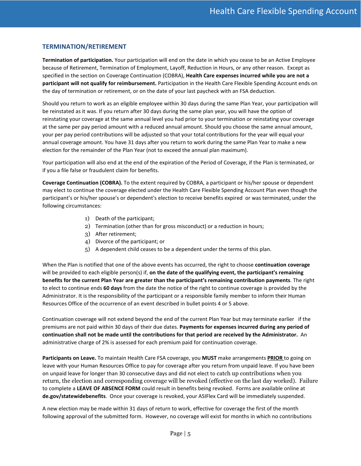# **TERMINATION/RETIREMENT**

**Termination of participation.** Your participation will end on the date in which you cease to be an Active Employee because of Retirement, Termination of Employment, Layoff, Reduction in Hours, or any other reason. Except as specified in the section on Coverage Continuation (COBRA), **Health Care expenses incurred while you are not a participant will not qualify for reimbursement.** Participation in the Health Care Flexible Spending Account ends on the day of termination or retirement, or on the date of your last paycheck with an FSA deduction.

Should you return to work as an eligible employee within 30 days during the same Plan Year, your participation will be reinstated as it was. If you return after 30 days during the same plan year, you will have the option of reinstating your coverage at the same annual level you had prior to your termination or reinstating your coverage at the same per pay period amount with a reduced annual amount. Should you choose the same annual amount, your per pay period contributions will be adjusted so that your total contributions for the year will equal your annual coverage amount. You have 31 days after you return to work during the same Plan Year to make a new election for the remainder of the Plan Year (not to exceed the annual plan maximum).

Your participation will also end at the end of the expiration of the Period of Coverage, if the Plan is terminated, or if you a file false or fraudulent claim for benefits.

**Coverage Continuation (COBRA).** To the extent required by COBRA, a participant or his/her spouse or dependent may elect to continue the coverage elected under the Health Care Flexible Spending Account Plan even though the participant's or his/her spouse's or dependent's election to receive benefits expired or was terminated, under the following circumstances:

- 1) Death of the participant;
- 2) Termination (other than for gross misconduct) or a reduction in hours;
- 3) After retirement;
- 4) Divorce of the participant; or
- 5) A dependent child ceases to be a dependent under the terms of this plan.

When the Plan is notified that one of the above events has occurred, the right to choose **continuation coverage**  will be provided to each eligible person(s) if, **on the date of the qualifying event, the participant's remaining benefits for the current Plan Year are greater than the participant's remaining contribution payments**. The right to elect to continue ends **60 days** from the date the notice of the right to continue coverage is provided by the Administrator. It is the responsibility of the participant or a responsible family member to inform their Human Resources Office of the occurrence of an event described in bullet points 4 or 5 above.

Continuation coverage will not extend beyond the end of the current Plan Year but may terminate earlier if the premiums are not paid within 30 days of their due dates. **Payments for expenses incurred during any period of continuation shall not be made until the contributions for that period are received by the Administrator.** An administrative charge of 2% is assessed for each premium paid for continuation coverage.

**Participants on Leave.** To maintain Health Care FSA coverage, you **MUST** make arrangements **PRIOR** to going on leave with your Human Resources Office to pay for coverage after you return from unpaid leave. If you have been on unpaid leave for longer than 30 consecutive days and did not elect to catch up contributions when you return, the election and corresponding coverage will be revoked (effective on the last day worked). Failure to complete a **LEAVE OF ABSENCE FORM** could result in benefits being revoked. Forms are available online at **de.gov/statewidebenefits**. Once your coverage is revoked, your ASIFlex Card will be immediately suspended.

A new election may be made within 31 days of return to work, effective for coverage the first of the month following approval of the submitted form. However, no coverage will exist for months in which no contributions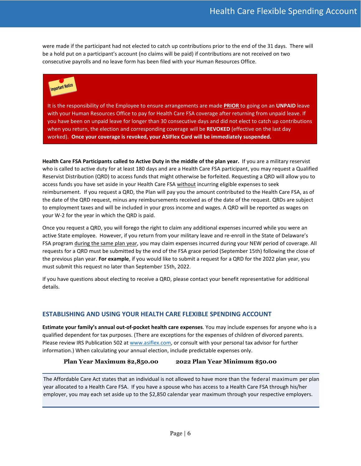were made if the participant had not elected to catch up contributions prior to the end of the 31 days. There will be a hold put on a participant's account (no claims will be paid) if contributions are not received on two consecutive payrolls and no leave form has been filed with your Human Resources Office.



It is the responsibility of the Employee to ensure arrangements are made **PRIOR** to going on an **UNPAID** leave with your Human Resources Office to pay for Health Care FSA coverage after returning from unpaid leave. If you have been on unpaid leave for longer than 30 consecutive days and did not elect to catch up contributions when you return, the election and corresponding coverage will be **REVOKED** (effective on the last day worked). **Once your coverage is revoked, your ASIFlex Card will be immediately suspended.**

**Health Care FSA Participants called to Active Duty in the middle of the plan year.** If you are a military reservist who is called to active duty for at least 180 days and are a Health Care FSA participant, you may request a Qualified Reservist Distribution (QRD) to access funds that might otherwise be forfeited. Requesting a QRD will allow you to access funds you have set aside in your Health Care FSA without incurring eligible expenses to seek reimbursement. If you request a QRD, the Plan will pay you the amount contributed to the Health Care FSA, as of the date of the QRD request, minus any reimbursements received as of the date of the request. QRDs are subject to employment taxes and will be included in your gross income and wages. A QRD will be reported as wages on your W-2 for the year in which the QRD is paid.

Once you request a QRD, you will forego the right to claim any additional expenses incurred while you were an active State employee. However, if you return from your military leave and re-enroll in the State of Delaware's FSA program during the same plan year, you may claim expenses incurred during your NEW period of coverage. All requests for a QRD must be submitted by the end of the FSA grace period (September 15th) following the close of the previous plan year. **For example**, if you would like to submit a request for a QRD for the 2022 plan year, you must submit this request no later than September 15th, 2022.

If you have questions about electing to receive a QRD, please contact your benefit representative for additional details.

# **ESTABLISHING AND USING YOUR HEALTH CARE FLEXIBLE SPENDING ACCOUNT**

**Estimate your family's annual out-of-pocket health care expenses**. You may include expenses for anyone who is a qualified dependent for tax purposes. (There are exceptions for the expenses of children of divorced parents. Please review IRS Publication 502 a[t www.asiflex.com,](http://www.asiflex.com/) or consult with your personal tax advisor for further information.) When calculating your annual election, include predictable expenses only.

**Plan Year Maximum \$2,850.00 2022 Plan Year Minimum \$50.00**

The Affordable Care Act states that an individual is not allowed to have more than the federal maximum per plan year allocated to a Health Care FSA. If you have a spouse who has access to a Health Care FSA through his/her employer, you may each set aside up to the \$2,850 calendar year maximum through your respective employers.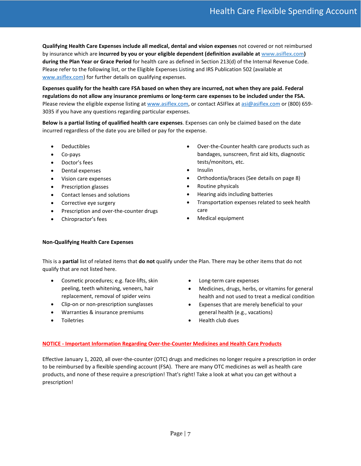**Qualifying Health Care Expenses include all medical, dental and vision expenses** not covered or not reimbursed by insurance which are **incurred by you or your eligible dependent (definition available a[t www.asiflex.com\)](http://www.asiflex.com/) during the Plan Year or Grace Period** for health care as defined in Section 213(d) of the Internal Revenue Code. Please refer to the following list, or the Eligible Expenses Listing and IRS Publication 502 (available at [www.asiflex.com\)](http://www.asiflex.com/) for further details on qualifying expenses.

**Expenses qualify for the health care FSA based on when they are incurred, not when they are paid. Federal regulations do not allow any insurance premiums or long-term care expenses to be included under the FSA.**  Please review the eligible expense listing at [www.asiflex.com,](http://www.asiflex.com/) or contact ASIFlex at [asi@asiflex.com](mailto:asi@asiflex.com) or (800) 659-3035 if you have any questions regarding particular expenses.

**Below is a partial listing of qualified health care expenses**. Expenses can only be claimed based on the date incurred regardless of the date you are billed or pay for the expense.

- Deductibles
- Co-pays
- Doctor's fees
- Dental expenses
- Vision care expenses
- Prescription glasses
- Contact lenses and solutions
- Corrective eye surgery
- Prescription and over-the-counter drugs
- Chiropractor's fees
- Over-the-Counter health care products such as bandages, sunscreen, first aid kits, diagnostic tests/monitors, etc.
- Insulin
- Orthodontia/braces (See details on page 8)
- Routine physicals
- Hearing aids including batteries
- Transportation expenses related to seek health care
- Medical equipment

#### **Non-Qualifying Health Care Expenses**

This is a **partial** list of related items that **do not** qualify under the Plan. There may be other items that do not qualify that are not listed here.

- Cosmetic procedures; e.g. face-lifts, skin peeling, teeth whitening, veneers, hair replacement, removal of spider veins
- Clip-on or non-prescription sunglasses
- Warranties & insurance premiums
- **Toiletries**
- Long-term care expenses
- Medicines, drugs, herbs, or vitamins for general health and not used to treat a medical condition
- Expenses that are merely beneficial to your general health (e.g., vacations)
- Health club dues

#### **NOTICE - Important Information Regarding Over-the-Counter Medicines and Health Care Products**

Effective January 1, 2020, all over-the-counter (OTC) drugs and medicines no longer require a prescription in order to be reimbursed by a flexible spending account (FSA). There are many OTC medicines as well as health care products, and none of these require a prescription! That's right! Take a look at what you can get without a prescription!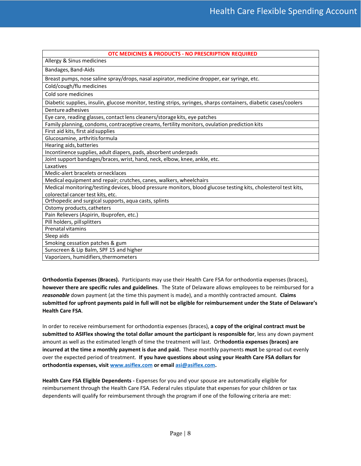| OTC MEDICINES & PRODUCTS - NO PRESCRIPTION REQUIRED                                                              |
|------------------------------------------------------------------------------------------------------------------|
| Allergy & Sinus medicines                                                                                        |
| Bandages, Band-Aids                                                                                              |
| Breast pumps, nose saline spray/drops, nasal aspirator, medicine dropper, ear syringe, etc.                      |
| Cold/cough/flu medicines                                                                                         |
| Cold sore medicines                                                                                              |
| Diabetic supplies, insulin, glucose monitor, testing strips, syringes, sharps containers, diabetic cases/coolers |
| Denture adhesives                                                                                                |
| Eye care, reading glasses, contact lens cleaners/storage kits, eye patches                                       |
| Family planning, condoms, contraceptive creams, fertility monitors, ovulation prediction kits                    |
| First aid kits, first aid supplies                                                                               |
| Glucosamine, arthritis formula                                                                                   |
| Hearing aids, batteries                                                                                          |
| Incontinence supplies, adult diapers, pads, absorbent underpads                                                  |
| Joint support bandages/braces, wrist, hand, neck, elbow, knee, ankle, etc.                                       |
| Laxatives                                                                                                        |
| Medic-alert bracelets or necklaces                                                                               |
| Medical equipment and repair; crutches, canes, walkers, wheelchairs                                              |
| Medical monitoring/testing devices, blood pressure monitors, blood glucose testing kits, cholesterol test kits,  |
| colorectal cancer test kits, etc.                                                                                |
| Orthopedic and surgical supports, aqua casts, splints                                                            |
| Ostomy products, catheters                                                                                       |
| Pain Relievers (Aspirin, Ibuprofen, etc.)                                                                        |
| Pill holders, pill splitters                                                                                     |
| Prenatal vitamins                                                                                                |
| Sleep aids                                                                                                       |
| Smoking cessation patches & gum                                                                                  |
| Sunscreen & Lip Balm, SPF 15 and higher                                                                          |
| Vaporizers, humidifiers, thermometers                                                                            |

**Orthodontia Expenses (Braces).** Participants may use their Health Care FSA for orthodontia expenses (braces), **however there are specific rules and guidelines**. The State of Delaware allows employees to be reimbursed for a *reasonable* down payment (at the time this payment is made), and a monthly contracted amount. **Claims submitted for upfront payments paid in full will not be eligible for reimbursement under the State of Delaware's Health Care FSA**.

In order to receive reimbursement for orthodontia expenses (braces), **a copy of the original contract must be submitted to ASIFlex showing the total dollar amount the participant is responsible for**, less any down payment amount as well as the estimated length of time the treatment will last. Ort**hodontia expenses (braces) are incurred at the time a monthly payment is due and paid.** These monthly payments **must** be spread out evenly over the expected period of treatment. **If you have questions about using your Health Care FSA dollars for orthodontia expenses, visit [www.asiflex.com](http://www.asiflex.com/) or email [asi@asiflex.com.](mailto:asi@asiflex.com)**

**Health Care FSA Eligible Dependents -** Expenses for you and your spouse are automatically eligible for reimbursement through the Health Care FSA. Federal rules stipulate that expenses for your children or tax dependents will qualify for reimbursement through the program if one of the following criteria are met: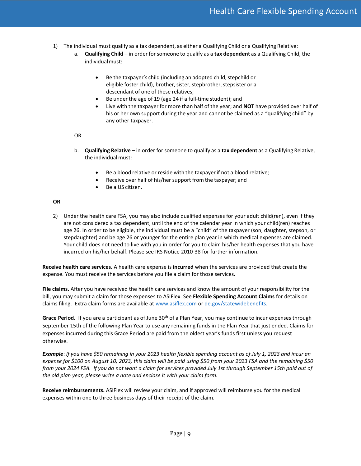- 1) The individual must qualify as a tax dependent, as either a Qualifying Child or a Qualifying Relative:
	- a. **Qualifying Child** in order for someone to qualify as a **tax dependent** as a Qualifying Child, the individualmust:
		- Be the taxpayer's child (including an adopted child, stepchild or eligible foster child), brother, sister, stepbrother, stepsister or a descendant of one of these relatives;
		- Be under the age of 19 (age 24 if a full-time student); and
		- Live with the taxpayer for more than half of the year; and **NOT** have provided over half of his or her own support during the year and cannot be claimed as a "qualifying child" by any other taxpayer.

#### OR

- b. **Qualifying Relative** in order for someone to qualify as a **tax dependent** as a Qualifying Relative, the individual must:
	- Be a blood relative or reside with the taxpayer if not a blood relative;
	- Receive over half of his/her support from the taxpayer; and
	- Be a US citizen.

#### **OR**

2) Under the health care FSA, you may also include qualified expenses for your adult child(ren), even if they are not considered a tax dependent, until the end of the calendar year in which your child(ren) reaches age 26. In order to be eligible, the individual must be a "child" of the taxpayer (son, daughter, stepson, or stepdaughter) and be age 26 or younger for the entire plan year in which medical expenses are claimed. Your child does not need to live with you in order for you to claim his/her health expenses that you have incurred on his/her behalf. Please see IRS Notice 2010-38 for further information.

**Receive health care services.** A health care expense is **incurred** when the services are provided that create the expense. You must receive the services before you file a claim for those services.

**File claims.** After you have received the health care services and know the amount of your responsibility for the bill, you may submit a claim for those expenses to ASIFlex. See **Flexible Spending Account Claims** for details on claims filing. Extra claim forms are available at [www.asiflex.com](http://www.asiflex.com/) or [de.gov/statewidebenefits.](https://de.gov/statewidebenefits)

Grace Period. If you are a participant as of June 30<sup>th</sup> of a Plan Year, you may continue to incur expenses through September 15th of the following Plan Year to use any remaining funds in the Plan Year that just ended. Claims for expenses incurred during this Grace Period are paid from the oldest year's funds first unless you request otherwise.

*Example*: *If you have \$50 remaining in your 2023 health flexible spending account as of July 1, 2023 and incur an expense for \$100 on August 10, 2023, this claim will be paid using \$50 from your 2023 FSA and the remaining \$50 from your 2024 FSA. If you do not want a claim for services provided July 1st through September 15th paid out of the old plan year, please write a note and enclose it with your claim form.*

**Receive reimbursements.** ASIFlex will review your claim, and if approved will reimburse you for the medical expenses within one to three business days of their receipt of the claim.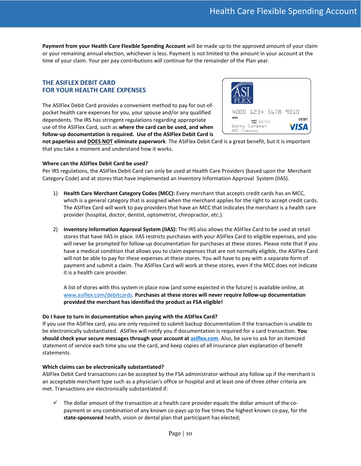**Payment from your Health Care Flexible Spending Account** will be made up to the approved amount of your claim or your remaining annual election, whichever is less. Payment is not limited to the amount in your account at the time of your claim. Your per pay contributions will continue for the remainder of the Plan year.

### **THE ASIFLEX DEBIT CARD FOR YOUR HEALTH CARE EXPENSES**

The ASIFlex Debit Card provides a convenient method to pay for out-ofpocket health care expenses for you, your spouse and/or any qualified dependents. The IRS has stringent regulations regarding appropriate use of the ASIFlex Card, such as **where the card can be used, and when follow-up documentation is required. Use of the ASIFlex Debit Card is** 



**not paperless and DOES NOT eliminate paperwork**. The ASIFlex Debit Card is a great benefit, but it is important that you take a moment and understand how it works.

#### **Where can the ASIFlex Debit Card be used?**

Per IRS regulations, the ASIFlex Debit Card can only be used at Health Care Providers (based upon the Merchant Category Code) and at stores that have implemented an Inventory Information Approval System (IIAS).

- 1) **Health Care Merchant Category Codes (MCC):** Every merchant that accepts credit cards has an MCC, which is a general category that is assigned when the merchant applies for the right to accept credit cards. The ASIFlex Card will work to pay providers that have an MCC that indicates the merchant is a health care provider (hospital, doctor, dentist, optometrist, chiropractor, etc.).
- 2) **Inventory Information Approval System (IIAS):** The IRS also allows the ASIFlex Card to be used at retail stores that have IIAS in place. IIAS restricts purchases with your ASIFlex Card to eligible expenses, and you will never be prompted for follow-up documentation for purchases at these stores. Please note that if you have a medical condition that allows you to claim expenses that are not normally eligible, the ASIFlex Card will not be able to pay for these expenses at these stores. You will have to pay with a separate form of payment and submit a claim. The ASIFlex Card will work at these stores, even if the MCC does not indicate it is a health care provider.

A list of stores with this system in place now (and some expected in the future) is available online, at [www.asiflex.com/debitcards.](http://www.asiflex.com/debitcards) **Purchases at these stores will never require follow-up documentation provided the merchant has identified the product as FSA eligible!** 

#### **Do I have to turn in documentation when paying with the ASIFlex Card?**

If you use the ASIFlex card, you are only required to submit backup documentation if the transaction is unable to be electronically substantiated. ASIFlex will notify you if documentation is required for a card transaction. **You should check your secure messages through your account a[t asiflex.com](http://www.asiflex.com/)**. Also, be sure to ask for an itemized statement of service each time you use the card, and keep copies of all insurance plan explanation of benefit statements.

#### **Which claims can be electronically substantiated?**

ASIFlex Debit Card transactions can be accepted by the FSA administrator without any follow up if the merchant is an acceptable merchant type such as a physician's office or hospital and at least one of three other criteria are met. Transactions are electronically substantiated if:

 $\checkmark$  The dollar amount of the transaction at a health care provider equals the dollar amount of the copayment or any combination of any known co-pays up to five times the highest known co-pay, for the **state-sponsored** health, vision or dental plan that participant has elected;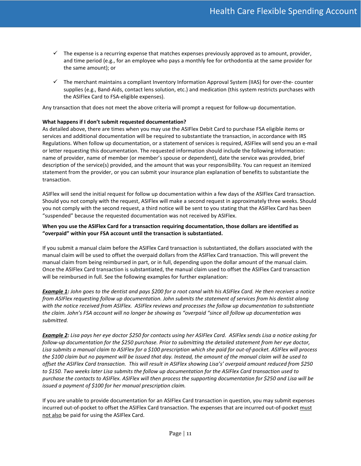- $\checkmark$  The expense is a recurring expense that matches expenses previously approved as to amount, provider, and time period (e.g., for an employee who pays a monthly fee for orthodontia at the same provider for the same amount); or
- $\checkmark$  The merchant maintains a compliant Inventory Information Approval System (IIAS) for over-the- counter supplies (e.g., Band-Aids, contact lens solution, etc.) and medication (this system restricts purchases with the ASIFlex Card to FSA-eligible expenses).

Any transaction that does not meet the above criteria will prompt a request for follow-up documentation.

#### **What happens if I don't submit requested documentation?**

As detailed above, there are times when you may use the ASIFlex Debit Card to purchase FSA eligible items or services and additional documentation will be required to substantiate the transaction, in accordance with IRS Regulations. When follow up documentation, or a statement of services is required, ASIFlex will send you an e-mail or letter requesting this documentation. The requested information should include the following information: name of provider, name of member (or member's spouse or dependent), date the service was provided, brief description of the service(s) provided, and the amount that was your responsibility. You can request an itemized statement from the provider, or you can submit your insurance plan explanation of benefits to substantiate the transaction.

ASIFlex will send the initial request for follow up documentation within a few days of the ASIFlex Card transaction. Should you not comply with the request, ASIFlex will make a second request in approximately three weeks. Should you not comply with the second request, a third notice will be sent to you stating that the ASIFlex Card has been "suspended" because the requested documentation was not received by ASIFlex.

#### **When you use the ASIFlex Card for a transaction requiring documentation, those dollars are identified as "overpaid" within your FSA account until the transaction is substantiated.**

If you submit a manual claim before the ASIFlex Card transaction is substantiated, the dollars associated with the manual claim will be used to offset the overpaid dollars from the ASIFlex Card transaction. This will prevent the manual claim from being reimbursed in part, or in full, depending upon the dollar amount of the manual claim. Once the ASIFlex Card transaction is substantiated, the manual claim used to offset the ASIFlex Card transaction will be reimbursed in full. See the following examples for further explanation:

*Example 1: John goes to the dentist and pays \$200 for a root canal with his ASIFlex Card. He then receives a notice from ASIFlex requesting follow up documentation. John submits the statement of services from his dentist along with the notice received from ASIFlex. ASIFlex reviews and processes the follow up documentation to substantiate the claim. John's FSA account will no longer be showing as "overpaid "since all follow up documentation was submitted.*

*Example 2: Lisa pays her eye doctor \$250 for contacts using her ASIFlex Card. ASIFlex sends Lisa a notice asking for follow-up documentation for the \$250 purchase. Prior to submitting the detailed statement from her eye doctor, Lisa submits a manual claim to ASIFlex for a \$100 prescription which she paid for out-of-pocket. ASIFlex will process the \$100 claim but no payment will be issued that day. Instead, the amount of the manual claim will be used to offset the ASIFlex Card transaction. This will result in ASIFlex showing Lisa's' overpaid amount reduced from \$250 to \$150. Two weeks later Lisa submits the follow up documentation for the ASIFlex Card transaction used to purchase the contacts to ASIFlex. ASIFlex will then process the supporting documentation for \$250 and Lisa will be issued a payment of \$100 for her manual prescription claim.*

If you are unable to provide documentation for an ASIFlex Card transaction in question, you may submit expenses incurred out-of-pocket to offset the ASIFlex Card transaction. The expenses that are incurred out-of-pocket must not also be paid for using the ASIFlex Card.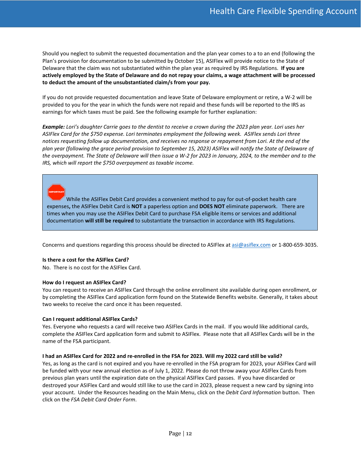Should you neglect to submit the requested documentation and the plan year comes to a to an end (following the Plan's provision for documentation to be submitted by October 15), ASIFlex will provide notice to the State of Delaware that the claim was not substantiated within the plan year as required by IRS Regulations. **If you are actively employed by the State of Delaware and do not repay your claims, a wage attachment will be processed to deduct the amount of the unsubstantiated claim/s from your pay.**

If you do not provide requested documentation and leave State of Delaware employment or retire, a W-2 will be provided to you for the year in which the funds were not repaid and these funds will be reported to the IRS as earnings for which taxes must be paid. See the following example for further explanation:

*Example: Lori's daughter Carrie goes to the dentist to receive a crown during the 2023 plan year. Lori uses her ASIFlex Card for the \$750 expense. Lori terminates employment the following week. ASIFlex sends Lori three notices requesting follow up documentation, and receives no response or repayment from Lori. At the end of the plan year (following the grace period provision to September 15, 2023) ASIFlex will notify the State of Delaware of the overpayment. The State of Delaware will then issue a W-2 for 2023 in January, 2024, to the member and to the IRS, which will report the \$750 overpayment as taxable income.*

While the ASIFlex Debit Card provides a convenient method to pay for out-of-pocket health care expenses**,** the ASIFlex Debit Card is **NOT** a paperless option and **DOES NOT** eliminate paperwork. There are times when you may use the ASIFlex Debit Card to purchase FSA eligible items or services and additional documentation **will still be required** to substantiate the transaction in accordance with IRS Regulations.

Concerns and questions regarding this process should be directed to ASIFlex a[t asi@asiflex.com](mailto:asi@asiflex.com) or 1-800-659-3035.

#### **Is there a cost for the ASIFlex Card?**

No. There is no cost for the ASIFlex Card.

#### **How do I request an ASIFlex Card?**

You can request to receive an ASIFlex Card through the online enrollment site available during open enrollment, or by completing the ASIFlex Card application form found on the Statewide Benefits website. Generally, it takes about two weeks to receive the card once it has been requested.

#### **Can I request additional ASIFlex Cards?**

Yes. Everyone who requests a card will receive two ASIFlex Cards in the mail. If you would like additional cards, complete the ASIFlex Card application form and submit to ASIFlex. Please note that all ASIFlex Cards will be in the name of the FSA participant.

#### **I had an ASIFlex Card for 2022 and re-enrolled in the FSA for 2023. Will my 2022 card still be valid?**

Yes, as long as the card is not expired and you have re-enrolled in the FSA program for 2023, your ASIFlex Card will be funded with your new annual election as of July 1, 2022. Please do not throw away your ASIFlex Cards from previous plan years until the expiration date on the physical ASIFlex Card passes. If you have discarded or destroyed your ASIFlex Card and would still like to use the card in 2023, please request a new card by signing into your account. Under the Resources heading on the Main Menu, click on the *Debit Card Information* button. Then click on the *FSA Debit Card Order Form*.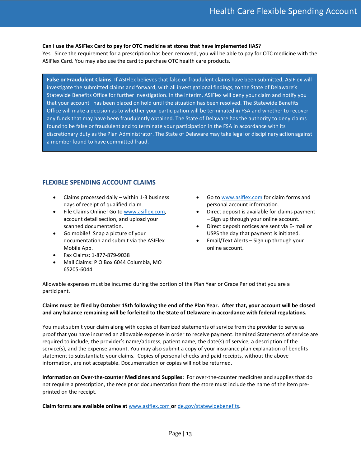#### **Can I use the ASIFlex Card to pay for OTC medicine at stores that have implemented IIAS?**

Yes. Since the requirement for a prescription has been removed, you will be able to pay for OTC medicine with the ASIFlex Card. You may also use the card to purchase OTC health care products.

**False or Fraudulent Claims.** If ASIFlex believes that false or fraudulent claims have been submitted, ASIFlex will investigate the submitted claims and forward, with all investigational findings, to the State of Delaware's Statewide Benefits Office for further investigation. In the interim, ASIFlex will deny your claim and notify you that your account has been placed on hold until the situation has been resolved. The Statewide Benefits Office will make a decision as to whether your participation will be terminated in FSA and whether to recover any funds that may have been fraudulently obtained. The State of Delaware has the authority to deny claims found to be false or fraudulent and to terminate your participation in the FSA in accordance with its discretionary duty as the Plan Administrator. The State of Delaware may take legal or disciplinary action against a member found to have committed fraud.

# **FLEXIBLE SPENDING ACCOUNT CLAIMS**

- Claims processed daily within 1-3 business days of receipt of qualified claim.
- File Claims Online! Go to [www.asiflex.com,](http://www.asiflex.com/) account detail section, and upload your scanned documentation.
- Go mobile! Snap a picture of your documentation and submit via the ASIFlex Mobile App.
- Fax Claims: 1-877-879-9038
- Mail Claims: P O Box 6044 Columbia, MO 65205-6044
- Go t[o www.asiflex.com](http://www.asiflex.com/) for claim forms and personal account information.
- Direct deposit is available for claims payment – Sign up through your online account.
- Direct deposit notices are sent via E- mail or USPS the day that payment is initiated.
- Email/Text Alerts Sign up through your online account.

Allowable expenses must be incurred during the portion of the Plan Year or Grace Period that you are a participant.

#### **Claims must be filed by October 15th following the end of the Plan Year. After that, your account will be closed and any balance remaining will be forfeited to the State of Delaware in accordance with federal regulations.**

You must submit your claim along with copies of itemized statements of service from the provider to serve as proof that you have incurred an allowable expense in order to receive payment. Itemized Statements of service are required to include, the provider's name/address, patient name, the date(s) of service, a description of the service(s), and the expense amount. You may also submit a copy of your insurance plan explanation of benefits statement to substantiate your claims. Copies of personal checks and paid receipts, without the above information, are not acceptable. Documentation or copies will not be returned.

**Information on Over-the-counter Medicines and Supplies:** For over-the-counter medicines and supplies that do not require a prescription, the receipt or documentation from the store must include the name of the item preprinted on the receipt.

**Claim forms are available online at** [www.asiflex.com](http://www.asiflex.com/) **or** [de.gov/statewidebenefits](https://de.gov/statewidebenefits)**.**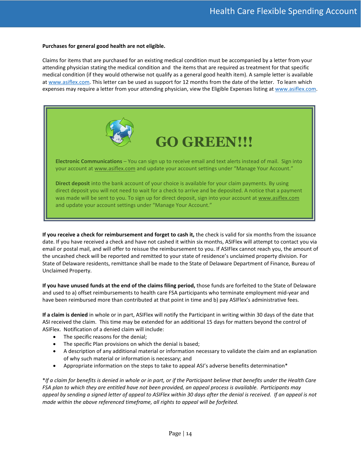#### **Purchases for general good health are not eligible.**

Claims for items that are purchased for an existing medical condition must be accompanied by a letter from your attending physician stating the medical condition and the items that are required as treatment for that specific medical condition (if they would otherwise not qualify as a general good health item). A sample letter is available a[t www.asiflex.com.](http://www.asiflex.com/) This letter can be used as support for 12 months from the date of the letter. To learn which expenses may require a letter from your attending physician, view the Eligible Expenses listing at [www.asiflex.com.](http://www.asiflex.com/)



# **GO GREEN!!!**

**Electronic Communications** – You can sign up to receive email and text alerts instead of mail. Sign into your account a[t www.asiflex.com](http://www.asiflex.com/) and update your account settings under "Manage Your Account."

**Direct deposit** into the bank account of your choice is available for your claim payments. By using direct deposit you will not need to wait for a check to arrive and be deposited. A notice that a payment was made will be sent to you. To sign up for direct deposit, sign into your account a[t www.asiflex.com](http://www.asiflex.com/) and update your account settings under "Manage Your Account."

**If you receive a check for reimbursement and forget to cash it,** the check is valid for six months from the issuance date. If you have received a check and have not cashed it within six months, ASIFlex will attempt to contact you via email or postal mail, and will offer to reissue the reimbursement to you. If ASIFlex cannot reach you, the amount of the uncashed check will be reported and remitted to your state of residence's unclaimed property division. For State of Delaware residents, remittance shall be made to the State of Delaware Department of Finance, Bureau of Unclaimed Property.

**If you have unused funds at the end of the claims filing period,** those funds are forfeited to the State of Delaware and used to a) offset reimbursements to health care FSA participants who terminate employment mid-year and have been reimbursed more than contributed at that point in time and b) pay ASIFlex's administrative fees.

**If a claim is denied** in whole or in part, ASIFlex will notify the Participant in writing within 30 days of the date that ASI received the claim. This time may be extended for an additional 15 days for matters beyond the control of ASIFlex. Notification of a denied claim will include:

- The specific reasons for the denial;
- The specific Plan provisions on which the denial is based;
- A description of any additional material or information necessary to validate the claim and an explanation of why such material or information is necessary; and
- Appropriate information on the steps to take to appeal ASI's adverse benefits determination\*

\**If a claim for benefits is denied in whole or in part, or if the Participant believe that benefits under the Health Care FSA plan to which they are entitled have not been provided, an appeal process is available. Participants may appeal by sending a signed letter of appeal to ASIFlex within 30 days after the denial is received. If an appeal is not made within the above referenced timeframe, all rights to appeal will be forfeited.*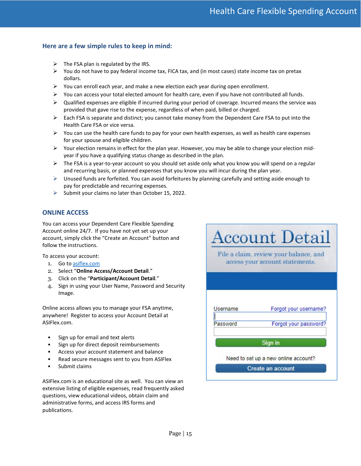# **Here are a few simple rules to keep in mind:**

- $\triangleright$  The FSA plan is regulated by the IRS.
- $\triangleright$  You do not have to pay federal income tax, FICA tax, and (in most cases) state income tax on pretax dollars.
- $\triangleright$  You can enroll each year, and make a new election each year during open enrollment.
- $\triangleright$  You can access your total elected amount for health care, even if you have not contributed all funds.
- $\triangleright$  Qualified expenses are eligible if incurred during your period of coverage. Incurred means the service was provided that gave rise to the expense, regardless of when paid, billed or charged.
- $\triangleright$  Each FSA is separate and distinct; you cannot take money from the Dependent Care FSA to put into the Health Care FSA or vice versa.
- $\triangleright$  You can use the health care funds to pay for your own health expenses, as well as health care expenses for your spouse and eligible children.
- $\triangleright$  Your election remains in effect for the plan year. However, you may be able to change your election midyear if you have a qualifying status change as described in the plan.
- $\triangleright$  The FSA is a year-to-year account so you should set aside only what you know you will spend on a regular and recurring basis, or planned expenses that you know you will incur during the plan year.
- $\triangleright$  Unused funds are forfeited. You can avoid forfeitures by planning carefully and setting aside enough to pay for predictable and recurring expenses.
- $\triangleright$  Submit your claims no later than October 15, 2022.

# **ONLINE ACCESS**

You can access your Dependent Care Flexible Spending Account online 24/7. If you have not yet set up your account, simply click the "Create an Account" button and follow the instructions.

To access your account:

- 1. Go t[o asiflex.com](http://www.asiflex.com/)
- 2. Select "**Online Access/Account Detail**."
- 3. Click on the "**Participant/Account Detail**."
- 4. Sign in using your User Name, Password and Security Image.

Online access allows you to manage your FSA anytime, anywhere! Register to access your Account Detail at ASIFlex.com.

- Sign up for email and text alerts
- Sign up for direct deposit reimbursements
- Access your account statement and balance
- Read secure messages sent to you from ASIFlex
- Submit claims

ASIFlex.com is an educational site as well. You can view an extensive listing of eligible expenses, read frequently asked questions, view educational videos, obtain claim and administrative forms, and access IRS forms and publications.

**Account Detail** File a claim, review your balance, and access your account statements. Forgot your username? **Username** Forgot your password? Password Sign in Need to set up a new online account? Create an account